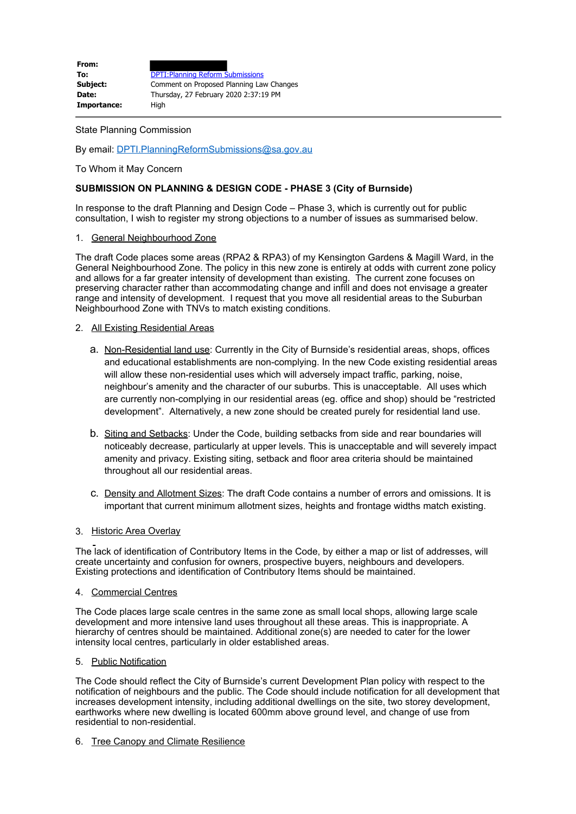| From:       |                                          |
|-------------|------------------------------------------|
| To:         | <b>DPTI: Planning Reform Submissions</b> |
| Subject:    | Comment on Proposed Planning Law Changes |
| Date:       | Thursday, 27 February 2020 2:37:19 PM    |
| Importance: | Hiah                                     |

State Planning Commission

By email: [DPTI.PlanningReformSubmissions@sa.gov.au](mailto:DPTI.PlanningReformSubmissions@sa.gov.au)

To Whom it May Concern

# **SUBMISSION ON PLANNING & DESIGN CODE - PHASE 3 (City of Burnside)**

In response to the draft Planning and Design Code – Phase 3, which is currently out for public consultation, I wish to register my strong objections to a number of issues as summarised below.

#### 1. General Neighbourhood Zone

The draft Code places some areas (RPA2 & RPA3) of my Kensington Gardens & Magill Ward, in the General Neighbourhood Zone. The policy in this new zone is entirely at odds with current zone policy and allows for a far greater intensity of development than existing. The current zone focuses on preserving character rather than accommodating change and infill and does not envisage a greater range and intensity of development. I request that you move all residential areas to the Suburban Neighbourhood Zone with TNVs to match existing conditions.

# 2. All Existing Residential Areas

- a. Non-Residential land use: Currently in the City of Burnside's residential areas, shops, offices and educational establishments are non-complying. In the new Code existing residential areas will allow these non-residential uses which will adversely impact traffic, parking, noise, neighbour's amenity and the character of our suburbs. This is unacceptable. All uses which are currently non-complying in our residential areas (eg. office and shop) should be "restricted development". Alternatively, a new zone should be created purely for residential land use.
- b. Siting and Setbacks: Under the Code, building setbacks from side and rear boundaries will noticeably decrease, particularly at upper levels. This is unacceptable and will severely impact amenity and privacy. Existing siting, setback and floor area criteria should be maintained throughout all our residential areas.
- c. Density and Allotment Sizes: The draft Code contains a number of errors and omissions. It is important that current minimum allotment sizes, heights and frontage widths match existing.

# 3. Historic Area Overlay

The lack of identification of Contributory Items in the Code, by either a map or list of addresses, will create uncertainty and confusion for owners, prospective buyers, neighbours and developers. Existing protections and identification of Contributory Items should be maintained.

#### 4. Commercial Centres

The Code places large scale centres in the same zone as small local shops, allowing large scale development and more intensive land uses throughout all these areas. This is inappropriate. A hierarchy of centres should be maintained. Additional zone(s) are needed to cater for the lower intensity local centres, particularly in older established areas.

# 5. Public Notification

The Code should reflect the City of Burnside's current Development Plan policy with respect to the notification of neighbours and the public. The Code should include notification for all development that increases development intensity, including additional dwellings on the site, two storey development, earthworks where new dwelling is located 600mm above ground level, and change of use from residential to non-residential.

#### 6. Tree Canopy and Climate Resilience